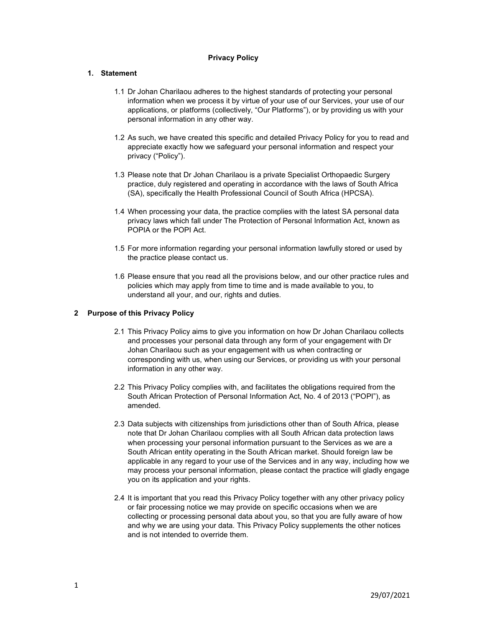#### Privacy Policy

## 1. Statement

- 1.1 Dr Johan Charilaou adheres to the highest standards of protecting your personal information when we process it by virtue of your use of our Services, your use of our applications, or platforms (collectively, "Our Platforms"), or by providing us with your personal information in any other way.
- 1.2 As such, we have created this specific and detailed Privacy Policy for you to read and appreciate exactly how we safeguard your personal information and respect your privacy ("Policy").
- 1.3 Please note that Dr Johan Charilaou is a private Specialist Orthopaedic Surgery practice, duly registered and operating in accordance with the laws of South Africa (SA), specifically the Health Professional Council of South Africa (HPCSA).
- 1.4 When processing your data, the practice complies with the latest SA personal data privacy laws which fall under The Protection of Personal Information Act, known as POPIA or the POPI Act.
- 1.5 For more information regarding your personal information lawfully stored or used by the practice please contact us.
- 1.6 Please ensure that you read all the provisions below, and our other practice rules and policies which may apply from time to time and is made available to you, to understand all your, and our, rights and duties.

## 2 Purpose of this Privacy Policy

- 2.1 This Privacy Policy aims to give you information on how Dr Johan Charilaou collects and processes your personal data through any form of your engagement with Dr Johan Charilaou such as your engagement with us when contracting or corresponding with us, when using our Services, or providing us with your personal information in any other way.
- 2.2 This Privacy Policy complies with, and facilitates the obligations required from the South African Protection of Personal Information Act, No. 4 of 2013 ("POPI"), as amended.
- 2.3 Data subjects with citizenships from jurisdictions other than of South Africa, please note that Dr Johan Charilaou complies with all South African data protection laws when processing your personal information pursuant to the Services as we are a South African entity operating in the South African market. Should foreign law be applicable in any regard to your use of the Services and in any way, including how we may process your personal information, please contact the practice will gladly engage you on its application and your rights.
- 2.4 It is important that you read this Privacy Policy together with any other privacy policy or fair processing notice we may provide on specific occasions when we are collecting or processing personal data about you, so that you are fully aware of how and why we are using your data. This Privacy Policy supplements the other notices and is not intended to override them.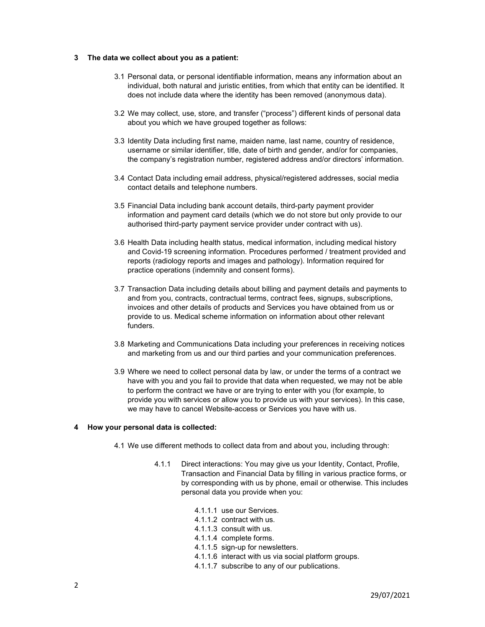#### 3 The data we collect about you as a patient:

- 3.1 Personal data, or personal identifiable information, means any information about an individual, both natural and juristic entities, from which that entity can be identified. It does not include data where the identity has been removed (anonymous data).
- 3.2 We may collect, use, store, and transfer ("process") different kinds of personal data about you which we have grouped together as follows:
- 3.3 Identity Data including first name, maiden name, last name, country of residence, username or similar identifier, title, date of birth and gender, and/or for companies, the company's registration number, registered address and/or directors' information.
- 3.4 Contact Data including email address, physical/registered addresses, social media contact details and telephone numbers.
- 3.5 Financial Data including bank account details, third-party payment provider information and payment card details (which we do not store but only provide to our authorised third-party payment service provider under contract with us).
- 3.6 Health Data including health status, medical information, including medical history and Covid-19 screening information. Procedures performed / treatment provided and reports (radiology reports and images and pathology). Information required for practice operations (indemnity and consent forms).
- 3.7 Transaction Data including details about billing and payment details and payments to and from you, contracts, contractual terms, contract fees, signups, subscriptions, invoices and other details of products and Services you have obtained from us or provide to us. Medical scheme information on information about other relevant funders.
- 3.8 Marketing and Communications Data including your preferences in receiving notices and marketing from us and our third parties and your communication preferences.
- 3.9 Where we need to collect personal data by law, or under the terms of a contract we have with you and you fail to provide that data when requested, we may not be able to perform the contract we have or are trying to enter with you (for example, to provide you with services or allow you to provide us with your services). In this case, we may have to cancel Website-access or Services you have with us.

## 4 How your personal data is collected:

- 4.1 We use different methods to collect data from and about you, including through:
	- 4.1.1 Direct interactions: You may give us your Identity, Contact, Profile, Transaction and Financial Data by filling in various practice forms, or by corresponding with us by phone, email or otherwise. This includes personal data you provide when you:
		- 4.1.1.1 use our Services.
		- 4.1.1.2 contract with us.
		- 4.1.1.3 consult with us.
		- 4.1.1.4 complete forms.
		- 4.1.1.5 sign-up for newsletters.
		- 4.1.1.6 interact with us via social platform groups.
		- 4.1.1.7 subscribe to any of our publications.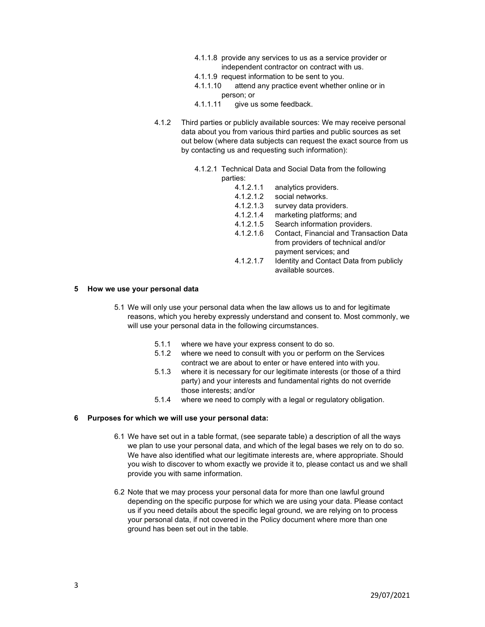- 4.1.1.8 provide any services to us as a service provider or independent contractor on contract with us.
- 4.1.1.9 request information to be sent to you.
- 4.1.1.10 attend any practice event whether online or in person; or
- 4.1.1.11 give us some feedback.
- 4.1.2 Third parties or publicly available sources: We may receive personal data about you from various third parties and public sources as set out below (where data subjects can request the exact source from us by contacting us and requesting such information):
	- 4.1.2.1 Technical Data and Social Data from the following parties:
		- 4.1.2.1.1 analytics providers.
		- 4.1.2.1.2 social networks.
		- 4.1.2.1.3 survey data providers.
		- 4.1.2.1.4 marketing platforms; and
		- 4.1.2.1.5 Search information providers.
		- 4.1.2.1.6 Contact, Financial and Transaction Data from providers of technical and/or payment services; and
		- 4.1.2.1.7 Identity and Contact Data from publicly available sources.

#### 5 How we use your personal data

- 5.1 We will only use your personal data when the law allows us to and for legitimate reasons, which you hereby expressly understand and consent to. Most commonly, we will use your personal data in the following circumstances.
	- 5.1.1 where we have your express consent to do so.
	- 5.1.2 where we need to consult with you or perform on the Services contract we are about to enter or have entered into with you.
	- 5.1.3 where it is necessary for our legitimate interests (or those of a third party) and your interests and fundamental rights do not override those interests; and/or
	- 5.1.4 where we need to comply with a legal or regulatory obligation.

#### 6 Purposes for which we will use your personal data:

- 6.1 We have set out in a table format, (see separate table) a description of all the ways we plan to use your personal data, and which of the legal bases we rely on to do so. We have also identified what our legitimate interests are, where appropriate. Should you wish to discover to whom exactly we provide it to, please contact us and we shall provide you with same information.
- 6.2 Note that we may process your personal data for more than one lawful ground depending on the specific purpose for which we are using your data. Please contact us if you need details about the specific legal ground, we are relying on to process your personal data, if not covered in the Policy document where more than one ground has been set out in the table.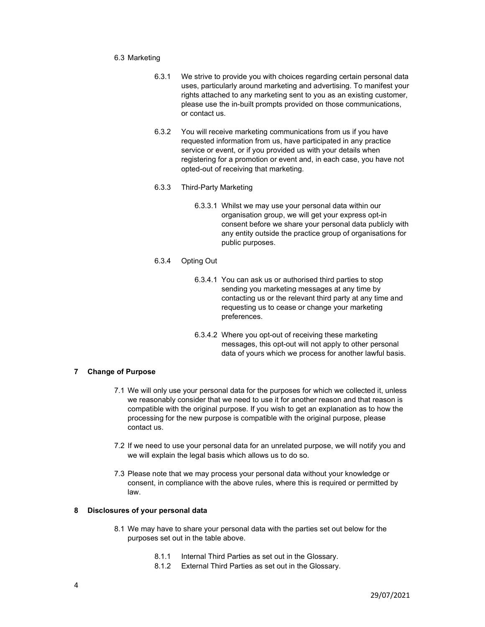#### 6.3 Marketing

- 6.3.1 We strive to provide you with choices regarding certain personal data uses, particularly around marketing and advertising. To manifest your rights attached to any marketing sent to you as an existing customer, please use the in-built prompts provided on those communications, or contact us.
- 6.3.2 You will receive marketing communications from us if you have requested information from us, have participated in any practice service or event, or if you provided us with your details when registering for a promotion or event and, in each case, you have not opted-out of receiving that marketing.
- 6.3.3 Third-Party Marketing
	- 6.3.3.1 Whilst we may use your personal data within our organisation group, we will get your express opt-in consent before we share your personal data publicly with any entity outside the practice group of organisations for public purposes.
- 6.3.4 Opting Out
	- 6.3.4.1 You can ask us or authorised third parties to stop sending you marketing messages at any time by contacting us or the relevant third party at any time and requesting us to cease or change your marketing preferences.
	- 6.3.4.2 Where you opt-out of receiving these marketing messages, this opt-out will not apply to other personal data of yours which we process for another lawful basis.

#### 7 Change of Purpose

- 7.1 We will only use your personal data for the purposes for which we collected it, unless we reasonably consider that we need to use it for another reason and that reason is compatible with the original purpose. If you wish to get an explanation as to how the processing for the new purpose is compatible with the original purpose, please contact us.
- 7.2 If we need to use your personal data for an unrelated purpose, we will notify you and we will explain the legal basis which allows us to do so.
- 7.3 Please note that we may process your personal data without your knowledge or consent, in compliance with the above rules, where this is required or permitted by law.

## 8 Disclosures of your personal data

- 8.1 We may have to share your personal data with the parties set out below for the purposes set out in the table above.
	- 8.1.1 Internal Third Parties as set out in the Glossary.
	- 8.1.2 External Third Parties as set out in the Glossary.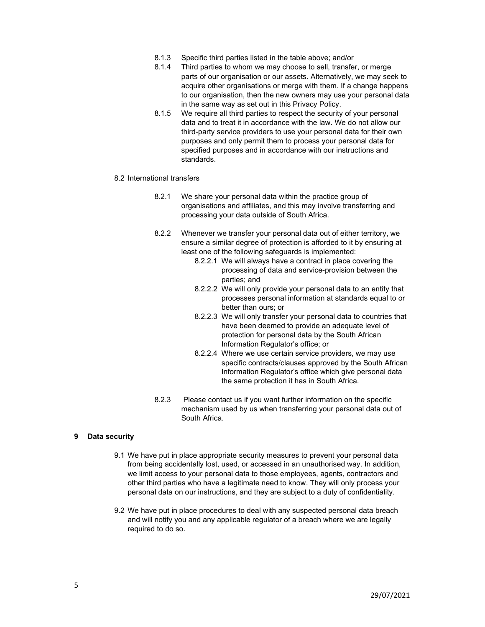- 8.1.3 Specific third parties listed in the table above; and/or
- 8.1.4 Third parties to whom we may choose to sell, transfer, or merge parts of our organisation or our assets. Alternatively, we may seek to acquire other organisations or merge with them. If a change happens to our organisation, then the new owners may use your personal data in the same way as set out in this Privacy Policy.
- 8.1.5 We require all third parties to respect the security of your personal data and to treat it in accordance with the law. We do not allow our third-party service providers to use your personal data for their own purposes and only permit them to process your personal data for specified purposes and in accordance with our instructions and standards.
- 8.2 International transfers
	- 8.2.1 We share your personal data within the practice group of organisations and affiliates, and this may involve transferring and processing your data outside of South Africa.
	- 8.2.2 Whenever we transfer your personal data out of either territory, we ensure a similar degree of protection is afforded to it by ensuring at least one of the following safeguards is implemented:
		- 8.2.2.1 We will always have a contract in place covering the processing of data and service-provision between the parties; and
		- 8.2.2.2 We will only provide your personal data to an entity that processes personal information at standards equal to or better than ours; or
		- 8.2.2.3 We will only transfer your personal data to countries that have been deemed to provide an adequate level of protection for personal data by the South African Information Regulator's office; or
		- 8.2.2.4 Where we use certain service providers, we may use specific contracts/clauses approved by the South African Information Regulator's office which give personal data the same protection it has in South Africa.
	- 8.2.3 Please contact us if you want further information on the specific mechanism used by us when transferring your personal data out of South Africa.

#### 9 Data security

- 9.1 We have put in place appropriate security measures to prevent your personal data from being accidentally lost, used, or accessed in an unauthorised way. In addition, we limit access to your personal data to those employees, agents, contractors and other third parties who have a legitimate need to know. They will only process your personal data on our instructions, and they are subject to a duty of confidentiality.
- 9.2 We have put in place procedures to deal with any suspected personal data breach and will notify you and any applicable regulator of a breach where we are legally required to do so.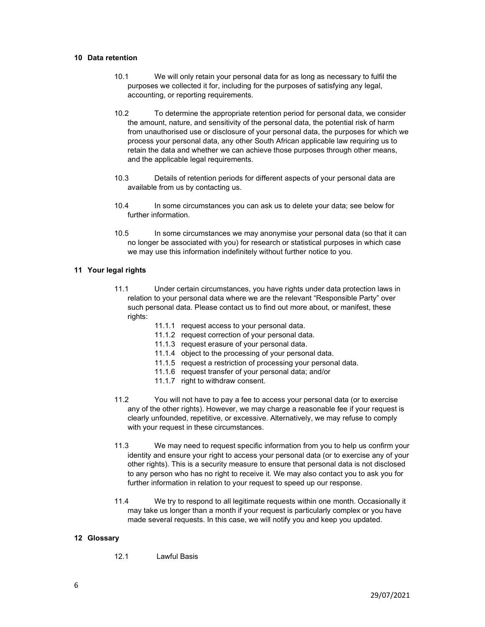#### 10 Data retention

- 10.1 We will only retain your personal data for as long as necessary to fulfil the purposes we collected it for, including for the purposes of satisfying any legal, accounting, or reporting requirements.
- 10.2 To determine the appropriate retention period for personal data, we consider the amount, nature, and sensitivity of the personal data, the potential risk of harm from unauthorised use or disclosure of your personal data, the purposes for which we process your personal data, any other South African applicable law requiring us to retain the data and whether we can achieve those purposes through other means, and the applicable legal requirements.
- 10.3 Details of retention periods for different aspects of your personal data are available from us by contacting us.
- 10.4 In some circumstances you can ask us to delete your data; see below for further information.
- 10.5 In some circumstances we may anonymise your personal data (so that it can no longer be associated with you) for research or statistical purposes in which case we may use this information indefinitely without further notice to you.

## 11 Your legal rights

- 11.1 Under certain circumstances, you have rights under data protection laws in relation to your personal data where we are the relevant "Responsible Party" over such personal data. Please contact us to find out more about, or manifest, these rights:
	- 11.1.1 request access to your personal data.
	- 11.1.2 request correction of your personal data.
	- 11.1.3 request erasure of your personal data.
	- 11.1.4 object to the processing of your personal data.
	- 11.1.5 request a restriction of processing your personal data.
	- 11.1.6 request transfer of your personal data; and/or
	- 11.1.7 right to withdraw consent.
- 11.2 You will not have to pay a fee to access your personal data (or to exercise any of the other rights). However, we may charge a reasonable fee if your request is clearly unfounded, repetitive, or excessive. Alternatively, we may refuse to comply with your request in these circumstances.
- 11.3 We may need to request specific information from you to help us confirm your identity and ensure your right to access your personal data (or to exercise any of your other rights). This is a security measure to ensure that personal data is not disclosed to any person who has no right to receive it. We may also contact you to ask you for further information in relation to your request to speed up our response.
- 11.4 We try to respond to all legitimate requests within one month. Occasionally it may take us longer than a month if your request is particularly complex or you have made several requests. In this case, we will notify you and keep you updated.

## 12 Glossary

12.1 Lawful Basis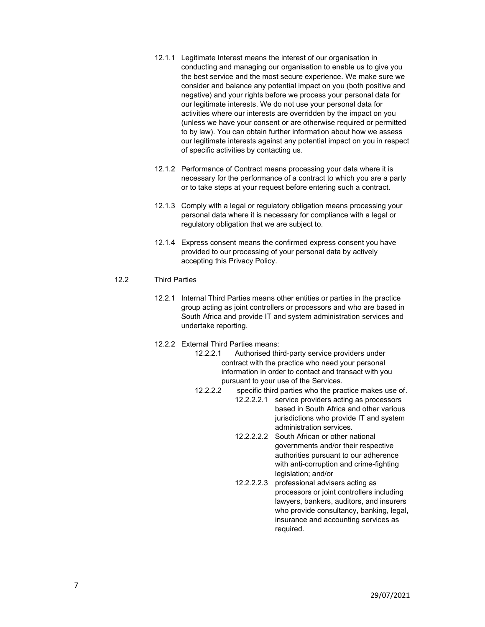- 12.1.1 Legitimate Interest means the interest of our organisation in conducting and managing our organisation to enable us to give you the best service and the most secure experience. We make sure we consider and balance any potential impact on you (both positive and negative) and your rights before we process your personal data for our legitimate interests. We do not use your personal data for activities where our interests are overridden by the impact on you (unless we have your consent or are otherwise required or permitted to by law). You can obtain further information about how we assess our legitimate interests against any potential impact on you in respect of specific activities by contacting us.
- 12.1.2 Performance of Contract means processing your data where it is necessary for the performance of a contract to which you are a party or to take steps at your request before entering such a contract.
- 12.1.3 Comply with a legal or regulatory obligation means processing your personal data where it is necessary for compliance with a legal or regulatory obligation that we are subject to.
- 12.1.4 Express consent means the confirmed express consent you have provided to our processing of your personal data by actively accepting this Privacy Policy.

# 12.2 Third Parties

12.2.1 Internal Third Parties means other entities or parties in the practice group acting as joint controllers or processors and who are based in South Africa and provide IT and system administration services and undertake reporting.

## 12.2.2 External Third Parties means:

- 12.2.2.1 Authorised third-party service providers under contract with the practice who need your personal information in order to contact and transact with you pursuant to your use of the Services.
- 12.2.2.2 specific third parties who the practice makes use of.
	- 12.2.2.2.1 service providers acting as processors based in South Africa and other various jurisdictions who provide IT and system administration services.
		- 12.2.2.2.2 South African or other national governments and/or their respective authorities pursuant to our adherence with anti-corruption and crime-fighting legislation; and/or
		- 12.2.2.2.3 professional advisers acting as processors or joint controllers including lawyers, bankers, auditors, and insurers who provide consultancy, banking, legal, insurance and accounting services as required.